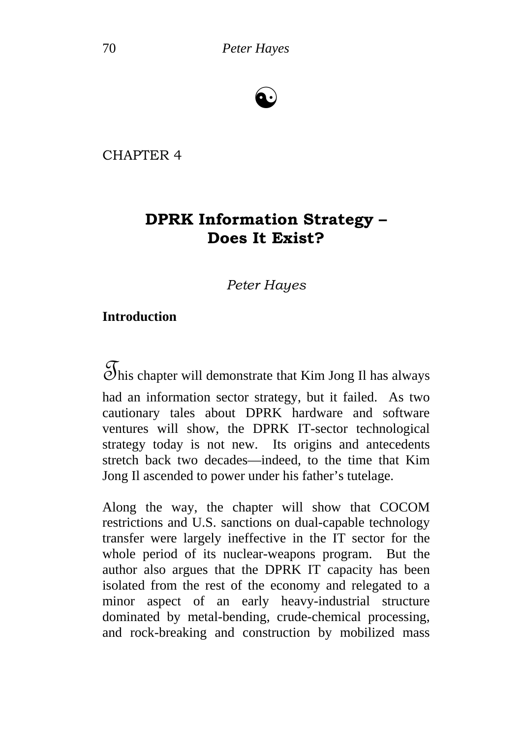# ☯

CHAPTER 4

## **DPRK Information Strategy – Does It Exist?**

*Peter Hayes*

#### **Introduction**

 $\mathcal{F}_{\text{this chapter will demonstrate that Kim Jong II has always}}$ 

had an information sector strategy, but it failed. As two cautionary tales about DPRK hardware and software ventures will show, the DPRK IT-sector technological strategy today is not new. Its origins and antecedents stretch back two decades—indeed, to the time that Kim Jong Il ascended to power under his father's tutelage.

Along the way, the chapter will show that COCOM restrictions and U.S. sanctions on dual-capable technology transfer were largely ineffective in the IT sector for the whole period of its nuclear-weapons program. But the author also argues that the DPRK IT capacity has been isolated from the rest of the economy and relegated to a minor aspect of an early heavy-industrial structure dominated by metal-bending, crude-chemical processing, and rock-breaking and construction by mobilized mass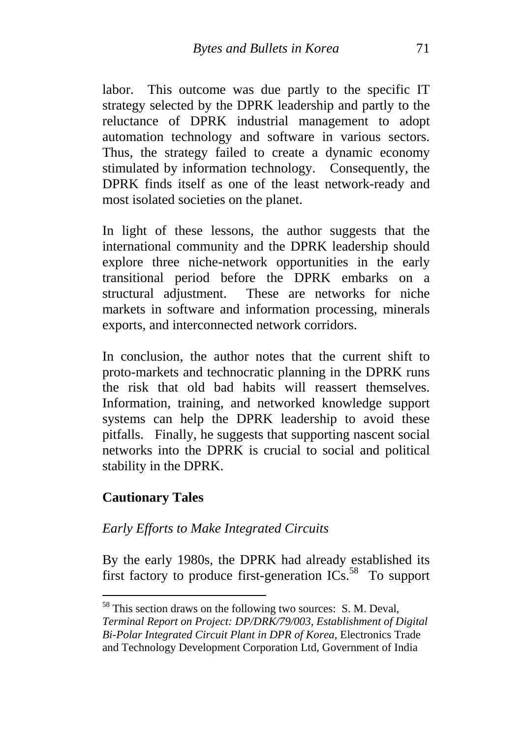labor. This outcome was due partly to the specific IT strategy selected by the DPRK leadership and partly to the reluctance of DPRK industrial management to adopt automation technology and software in various sectors. Thus, the strategy failed to create a dynamic economy stimulated by information technology. Consequently, the DPRK finds itself as one of the least network-ready and most isolated societies on the planet.

In light of these lessons, the author suggests that the international community and the DPRK leadership should explore three niche-network opportunities in the early transitional period before the DPRK embarks on a structural adjustment. These are networks for niche markets in software and information processing, minerals exports, and interconnected network corridors.

In conclusion, the author notes that the current shift to proto-markets and technocratic planning in the DPRK runs the risk that old bad habits will reassert themselves. Information, training, and networked knowledge support systems can help the DPRK leadership to avoid these pitfalls. Finally, he suggests that supporting nascent social networks into the DPRK is crucial to social and political stability in the DPRK.

#### **Cautionary Tales**

1

#### *Early Efforts to Make Integrated Circuits*

By the early 1980s, the DPRK had already established its first factory to produce first-generation  $\text{ICs}$ <sup>58</sup> To support

 $<sup>58</sup>$  This section draws on the following two sources: S. M. Deval,</sup> *Terminal Report on Project: DP/DRK/79/003, Establishment of Digital Bi-Polar Integrated Circuit Plant in DPR of Korea,* Electronics Trade and Technology Development Corporation Ltd, Government of India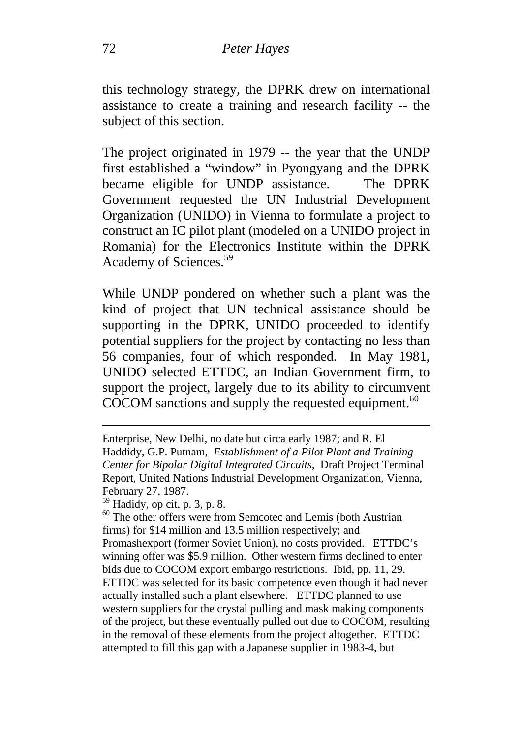this technology strategy, the DPRK drew on international assistance to create a training and research facility -- the subject of this section.

The project originated in 1979 -- the year that the UNDP first established a "window" in Pyongyang and the DPRK became eligible for UNDP assistance. The DPRK Government requested the UN Industrial Development Organization (UNIDO) in Vienna to formulate a project to construct an IC pilot plant (modeled on a UNIDO project in Romania) for the Electronics Institute within the DPRK Academy of Sciences.59

While UNDP pondered on whether such a plant was the kind of project that UN technical assistance should be supporting in the DPRK, UNIDO proceeded to identify potential suppliers for the project by contacting no less than 56 companies, four of which responded. In May 1981, UNIDO selected ETTDC, an Indian Government firm, to support the project, largely due to its ability to circumvent  $COCOM$  sanctions and supply the requested equipment.<sup>60</sup>

Enterprise, New Delhi, no date but circa early 1987; and R. El Haddidy, G.P. Putnam, *Establishment of a Pilot Plant and Training Center for Bipolar Digital Integrated Circuits,* Draft Project Terminal Report, United Nations Industrial Development Organization, Vienna, February 27, 1987.<br><sup>59</sup> Hadidy, op cit, p. 3, p. 8.<br><sup>60</sup> The other offers were from Semcotec and Lemis (both Austrian

firms) for \$14 million and 13.5 million respectively; and Promashexport (former Soviet Union), no costs provided. ETTDC's winning offer was \$5.9 million. Other western firms declined to enter bids due to COCOM export embargo restrictions. Ibid, pp. 11, 29. ETTDC was selected for its basic competence even though it had never actually installed such a plant elsewhere. ETTDC planned to use western suppliers for the crystal pulling and mask making components of the project, but these eventually pulled out due to COCOM, resulting in the removal of these elements from the project altogether. ETTDC attempted to fill this gap with a Japanese supplier in 1983-4, but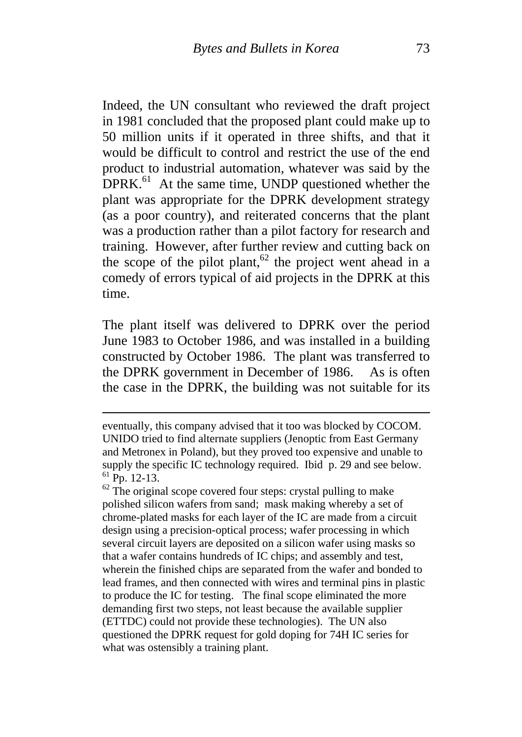Indeed, the UN consultant who reviewed the draft project in 1981 concluded that the proposed plant could make up to 50 million units if it operated in three shifts, and that it would be difficult to control and restrict the use of the end product to industrial automation, whatever was said by the  $DPRK<sup>61</sup>$  At the same time, UNDP questioned whether the plant was appropriate for the DPRK development strategy (as a poor country), and reiterated concerns that the plant was a production rather than a pilot factory for research and training. However, after further review and cutting back on the scope of the pilot plant,<sup>62</sup> the project went ahead in a comedy of errors typical of aid projects in the DPRK at this time.

The plant itself was delivered to DPRK over the period June 1983 to October 1986, and was installed in a building constructed by October 1986. The plant was transferred to the DPRK government in December of 1986. As is often the case in the DPRK, the building was not suitable for its

eventually, this company advised that it too was blocked by COCOM. UNIDO tried to find alternate suppliers (Jenoptic from East Germany and Metronex in Poland), but they proved too expensive and unable to supply the specific IC technology required. Ibid p. 29 and see below.<br><sup>61</sup> Pp. 12-13. <sup>62</sup> The original scope covered four steps: crystal pulling to make

polished silicon wafers from sand; mask making whereby a set of chrome-plated masks for each layer of the IC are made from a circuit design using a precision-optical process; wafer processing in which several circuit layers are deposited on a silicon wafer using masks so that a wafer contains hundreds of IC chips; and assembly and test, wherein the finished chips are separated from the wafer and bonded to lead frames, and then connected with wires and terminal pins in plastic to produce the IC for testing. The final scope eliminated the more demanding first two steps, not least because the available supplier (ETTDC) could not provide these technologies). The UN also questioned the DPRK request for gold doping for 74H IC series for what was ostensibly a training plant.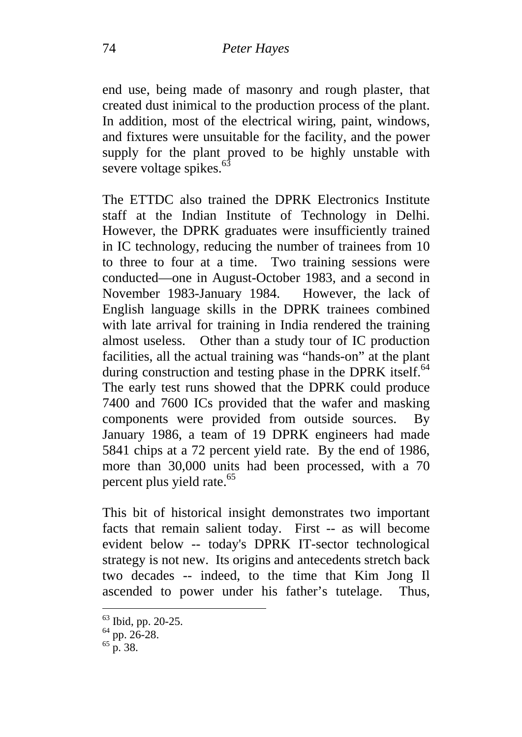end use, being made of masonry and rough plaster, that created dust inimical to the production process of the plant. In addition, most of the electrical wiring, paint, windows, and fixtures were unsuitable for the facility, and the power supply for the plant proved to be highly unstable with severe voltage spikes. $63$ 

The ETTDC also trained the DPRK Electronics Institute staff at the Indian Institute of Technology in Delhi. However, the DPRK graduates were insufficiently trained in IC technology, reducing the number of trainees from 10 to three to four at a time. Two training sessions were conducted—one in August-October 1983, and a second in November 1983-January 1984. However, the lack of English language skills in the DPRK trainees combined with late arrival for training in India rendered the training almost useless. Other than a study tour of IC production facilities, all the actual training was "hands-on" at the plant during construction and testing phase in the DPRK itself.<sup>64</sup> The early test runs showed that the DPRK could produce 7400 and 7600 ICs provided that the wafer and masking components were provided from outside sources. By January 1986, a team of 19 DPRK engineers had made 5841 chips at a 72 percent yield rate. By the end of 1986, more than 30,000 units had been processed, with a 70 percent plus yield rate.<sup>65</sup>

This bit of historical insight demonstrates two important facts that remain salient today. First -- as will become evident below -- today's DPRK IT-sector technological strategy is not new. Its origins and antecedents stretch back two decades -- indeed, to the time that Kim Jong Il ascended to power under his father's tutelage. Thus,

 $^{63}_{64}$  Ibid, pp. 20-25.<br>  $^{64}_{65}$  pp. 26-28.<br>  $^{65}_{65}$  p. 38.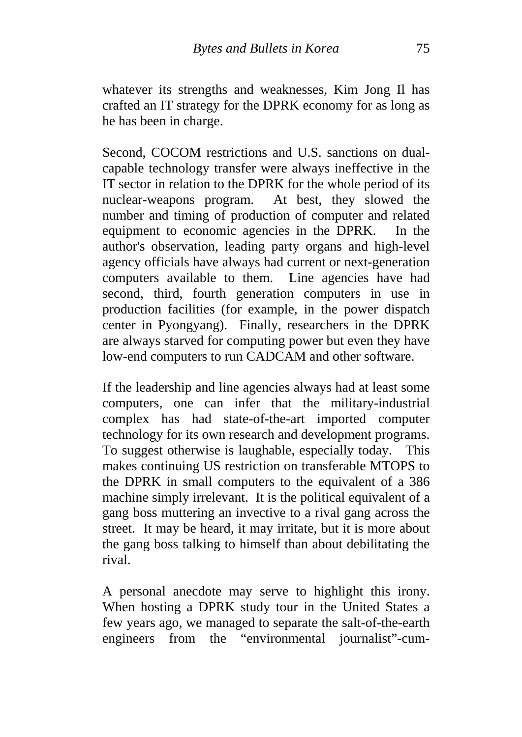whatever its strengths and weaknesses, Kim Jong Il has crafted an IT strategy for the DPRK economy for as long as he has been in charge.

Second, COCOM restrictions and U.S. sanctions on dualcapable technology transfer were always ineffective in the IT sector in relation to the DPRK for the whole period of its nuclear-weapons program. At best, they slowed the number and timing of production of computer and related equipment to economic agencies in the DPRK. In the author's observation, leading party organs and high-level agency officials have always had current or next-generation computers available to them. Line agencies have had second, third, fourth generation computers in use in production facilities (for example, in the power dispatch center in Pyongyang). Finally, researchers in the DPRK are always starved for computing power but even they have low-end computers to run CADCAM and other software.

If the leadership and line agencies always had at least some computers, one can infer that the military-industrial complex has had state-of-the-art imported computer technology for its own research and development programs. To suggest otherwise is laughable, especially today. This makes continuing US restriction on transferable MTOPS to the DPRK in small computers to the equivalent of a 386 machine simply irrelevant. It is the political equivalent of a gang boss muttering an invective to a rival gang across the street. It may be heard, it may irritate, but it is more about the gang boss talking to himself than about debilitating the rival.

A personal anecdote may serve to highlight this irony. When hosting a DPRK study tour in the United States a few years ago, we managed to separate the salt-of-the-earth engineers from the "environmental journalist"-cum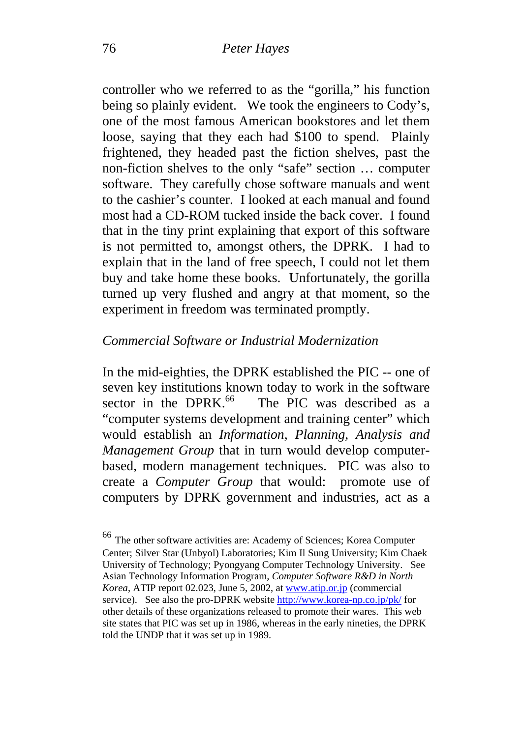controller who we referred to as the "gorilla," his function being so plainly evident. We took the engineers to Cody's, one of the most famous American bookstores and let them loose, saying that they each had \$100 to spend. Plainly frightened, they headed past the fiction shelves, past the non-fiction shelves to the only "safe" section … computer software. They carefully chose software manuals and went to the cashier's counter. I looked at each manual and found most had a CD-ROM tucked inside the back cover. I found that in the tiny print explaining that export of this software is not permitted to, amongst others, the DPRK. I had to explain that in the land of free speech, I could not let them buy and take home these books. Unfortunately, the gorilla turned up very flushed and angry at that moment, so the experiment in freedom was terminated promptly.

#### *Commercial Software or Industrial Modernization*

In the mid-eighties, the DPRK established the PIC -- one of seven key institutions known today to work in the software sector in the DPRK. $^{66}$  The PIC was described as a "computer systems development and training center" which would establish an *Information, Planning, Analysis and Management Group* that in turn would develop computerbased, modern management techniques. PIC was also to create a *Computer Group* that would: promote use of computers by DPRK government and industries, act as a

<sup>66</sup> The other software activities are: Academy of Sciences; Korea Computer Center; Silver Star (Unbyol) Laboratories; Kim Il Sung University; Kim Chaek University of Technology; Pyongyang Computer Technology University. See Asian Technology Information Program*, Computer Software R&D in North Korea*, ATIP report 02.023, June 5, 2002, at www.atip.or.jp (commercial service). See also the pro-DPRK website http://www.korea-np.co.jp/pk/ for other details of these organizations released to promote their wares. This web site states that PIC was set up in 1986, whereas in the early nineties, the DPRK told the UNDP that it was set up in 1989.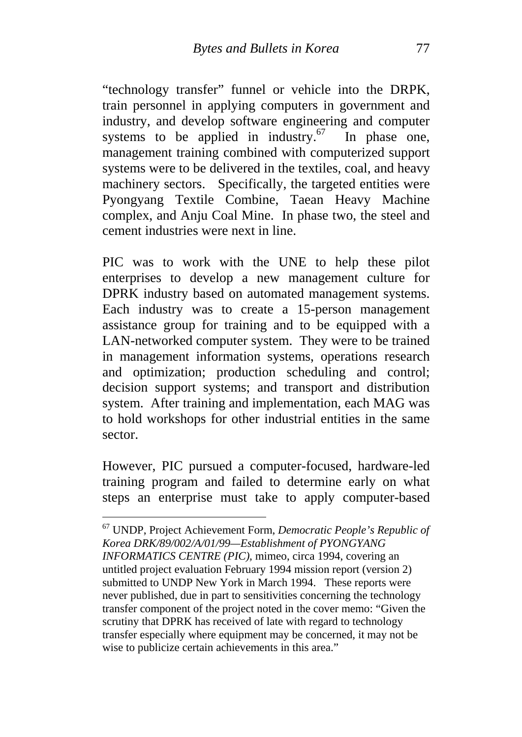"technology transfer" funnel or vehicle into the DRPK, train personnel in applying computers in government and industry, and develop software engineering and computer systems to be applied in industry. $67$  In phase one, management training combined with computerized support systems were to be delivered in the textiles, coal, and heavy machinery sectors. Specifically, the targeted entities were Pyongyang Textile Combine, Taean Heavy Machine complex, and Anju Coal Mine. In phase two, the steel and cement industries were next in line.

PIC was to work with the UNE to help these pilot enterprises to develop a new management culture for DPRK industry based on automated management systems. Each industry was to create a 15-person management assistance group for training and to be equipped with a LAN-networked computer system. They were to be trained in management information systems, operations research and optimization; production scheduling and control; decision support systems; and transport and distribution system. After training and implementation, each MAG was to hold workshops for other industrial entities in the same sector.

However, PIC pursued a computer-focused, hardware-led training program and failed to determine early on what steps an enterprise must take to apply computer-based

<sup>67</sup> UNDP, Project Achievement Form, *Democratic People's Republic of Korea DRK/89/002/A/01/99—Establishment of PYONGYANG INFORMATICS CENTRE (PIC),* mimeo, circa 1994, covering an untitled project evaluation February 1994 mission report (version 2) submitted to UNDP New York in March 1994. These reports were never published, due in part to sensitivities concerning the technology transfer component of the project noted in the cover memo: "Given the scrutiny that DPRK has received of late with regard to technology transfer especially where equipment may be concerned, it may not be wise to publicize certain achievements in this area."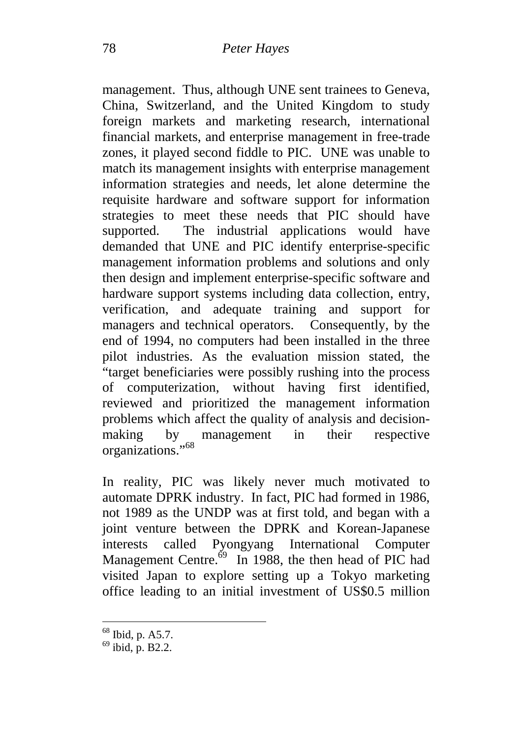management. Thus, although UNE sent trainees to Geneva, China, Switzerland, and the United Kingdom to study foreign markets and marketing research, international financial markets, and enterprise management in free-trade zones, it played second fiddle to PIC. UNE was unable to match its management insights with enterprise management information strategies and needs, let alone determine the requisite hardware and software support for information strategies to meet these needs that PIC should have supported. The industrial applications would have demanded that UNE and PIC identify enterprise-specific management information problems and solutions and only then design and implement enterprise-specific software and hardware support systems including data collection, entry, verification, and adequate training and support for managers and technical operators. Consequently, by the end of 1994, no computers had been installed in the three pilot industries. As the evaluation mission stated, the "target beneficiaries were possibly rushing into the process of computerization, without having first identified, reviewed and prioritized the management information problems which affect the quality of analysis and decisionmaking by management in their respective organizations."<sup>68</sup>

In reality, PIC was likely never much motivated to automate DPRK industry. In fact, PIC had formed in 1986, not 1989 as the UNDP was at first told, and began with a joint venture between the DPRK and Korean-Japanese interests called Pyongyang International Computer Management Centre. $69$  In 1988, the then head of PIC had visited Japan to explore setting up a Tokyo marketing office leading to an initial investment of US\$0.5 million

 $^{68}$  Ibid, p. A5.7.<br> $^{69}$  ibid, p. B2.2.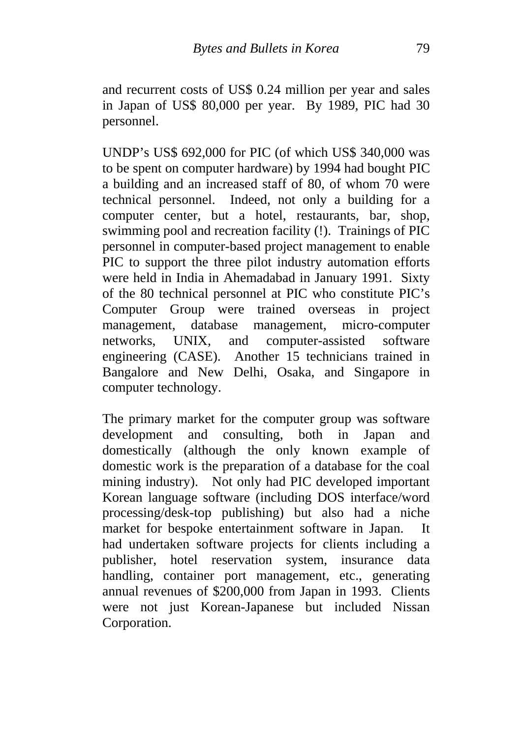and recurrent costs of US\$ 0.24 million per year and sales in Japan of US\$ 80,000 per year. By 1989, PIC had 30 personnel.

UNDP's US\$ 692,000 for PIC (of which US\$ 340,000 was to be spent on computer hardware) by 1994 had bought PIC a building and an increased staff of 80, of whom 70 were technical personnel. Indeed, not only a building for a computer center, but a hotel, restaurants, bar, shop, swimming pool and recreation facility (!). Trainings of PIC personnel in computer-based project management to enable PIC to support the three pilot industry automation efforts were held in India in Ahemadabad in January 1991. Sixty of the 80 technical personnel at PIC who constitute PIC's Computer Group were trained overseas in project management, database management, micro-computer networks, UNIX, and computer-assisted software engineering (CASE). Another 15 technicians trained in Bangalore and New Delhi, Osaka, and Singapore in computer technology.

The primary market for the computer group was software development and consulting, both in Japan and domestically (although the only known example of domestic work is the preparation of a database for the coal mining industry). Not only had PIC developed important Korean language software (including DOS interface/word processing/desk-top publishing) but also had a niche market for bespoke entertainment software in Japan. It had undertaken software projects for clients including a publisher, hotel reservation system, insurance data handling, container port management, etc., generating annual revenues of \$200,000 from Japan in 1993. Clients were not just Korean-Japanese but included Nissan Corporation.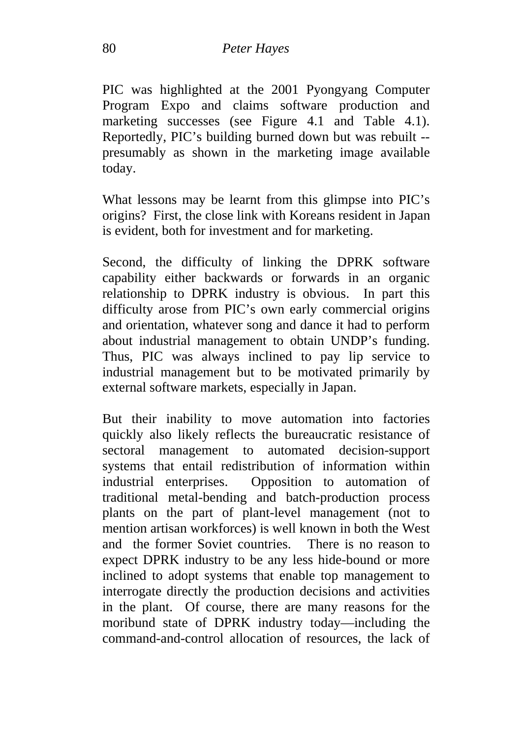PIC was highlighted at the 2001 Pyongyang Computer Program Expo and claims software production and marketing successes (see Figure 4.1 and Table 4.1). Reportedly, PIC's building burned down but was rebuilt - presumably as shown in the marketing image available today.

What lessons may be learnt from this glimpse into PIC's origins? First, the close link with Koreans resident in Japan is evident, both for investment and for marketing.

Second, the difficulty of linking the DPRK software capability either backwards or forwards in an organic relationship to DPRK industry is obvious. In part this difficulty arose from PIC's own early commercial origins and orientation, whatever song and dance it had to perform about industrial management to obtain UNDP's funding. Thus, PIC was always inclined to pay lip service to industrial management but to be motivated primarily by external software markets, especially in Japan.

But their inability to move automation into factories quickly also likely reflects the bureaucratic resistance of sectoral management to automated decision-support systems that entail redistribution of information within industrial enterprises. Opposition to automation of traditional metal-bending and batch-production process plants on the part of plant-level management (not to mention artisan workforces) is well known in both the West and the former Soviet countries. There is no reason to expect DPRK industry to be any less hide-bound or more inclined to adopt systems that enable top management to interrogate directly the production decisions and activities in the plant. Of course, there are many reasons for the moribund state of DPRK industry today—including the command-and-control allocation of resources, the lack of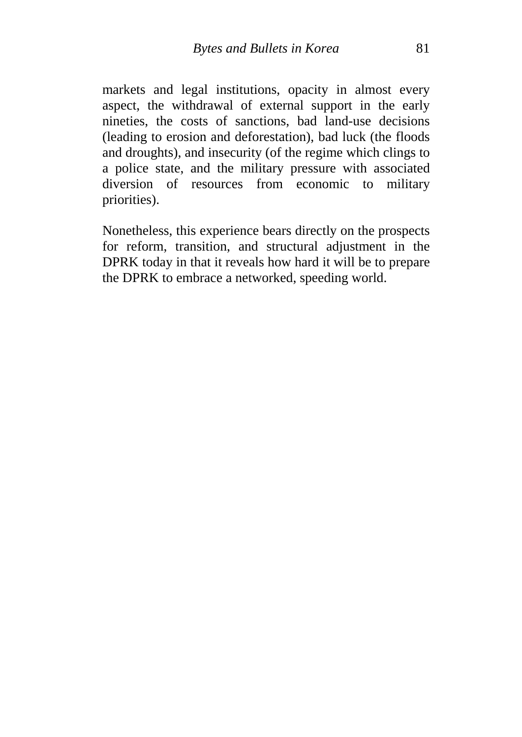markets and legal institutions, opacity in almost every aspect, the withdrawal of external support in the early nineties, the costs of sanctions, bad land-use decisions (leading to erosion and deforestation), bad luck (the floods and droughts), and insecurity (of the regime which clings to a police state, and the military pressure with associated diversion of resources from economic to military priorities).

Nonetheless, this experience bears directly on the prospects for reform, transition, and structural adjustment in the DPRK today in that it reveals how hard it will be to prepare the DPRK to embrace a networked, speeding world.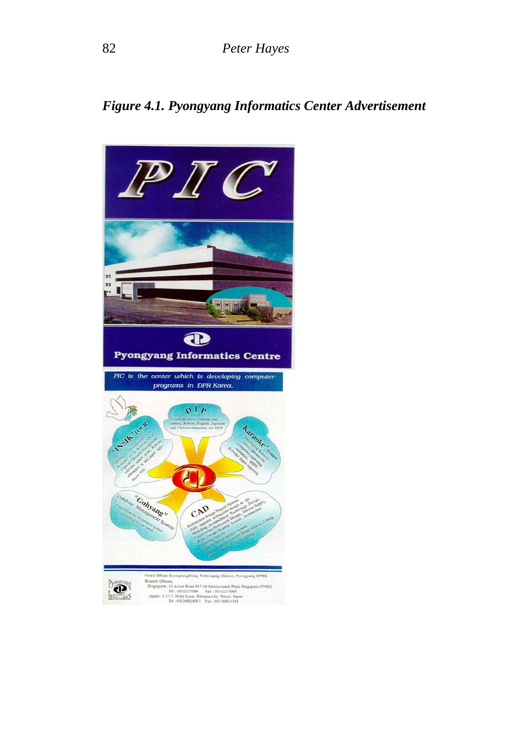*Figure 4.1. Pyongyang Informatics Center Advertisement* 

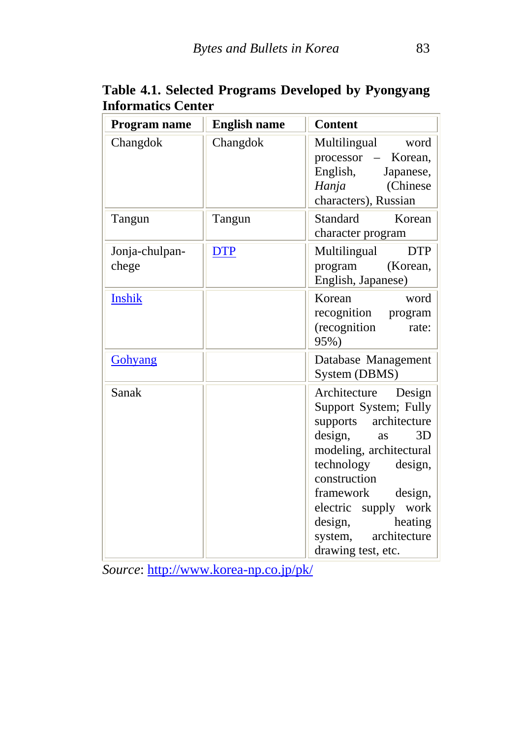| Program name            | <b>English name</b> | <b>Content</b>                                                                                                                                                                                                                                                                                   |
|-------------------------|---------------------|--------------------------------------------------------------------------------------------------------------------------------------------------------------------------------------------------------------------------------------------------------------------------------------------------|
| Changdok                | Changdok            | Multilingual word<br>processor – Korean,<br>English,<br>Japanese,<br>(Chinese<br>Hanja<br>characters), Russian                                                                                                                                                                                   |
| Tangun                  | Tangun              | Korean<br>Standard<br>character program                                                                                                                                                                                                                                                          |
| Jonja-chulpan-<br>chege | <b>DTP</b>          | <b>DTP</b><br>Multilingual<br>program<br>(Korean,<br>English, Japanese)                                                                                                                                                                                                                          |
| <b>Inshik</b>           |                     | Korean<br>word<br>recognition program<br>(recognition<br>rate:<br>95%)                                                                                                                                                                                                                           |
| Gohyang                 |                     | Database Management<br>System (DBMS)                                                                                                                                                                                                                                                             |
| Sanak                   |                     | Architecture<br>Design<br>Support System; Fully<br>architecture<br>supports<br>design,<br>3D<br>as<br>modeling, architectural<br>technology<br>design,<br>construction<br>design,<br>framework<br>electric<br>supply work<br>heating<br>design,<br>architecture<br>system,<br>drawing test, etc. |

**Table 4.1. Selected Programs Developed by Pyongyang Informatics Center** 

*Source*: http://www.korea-np.co.jp/pk/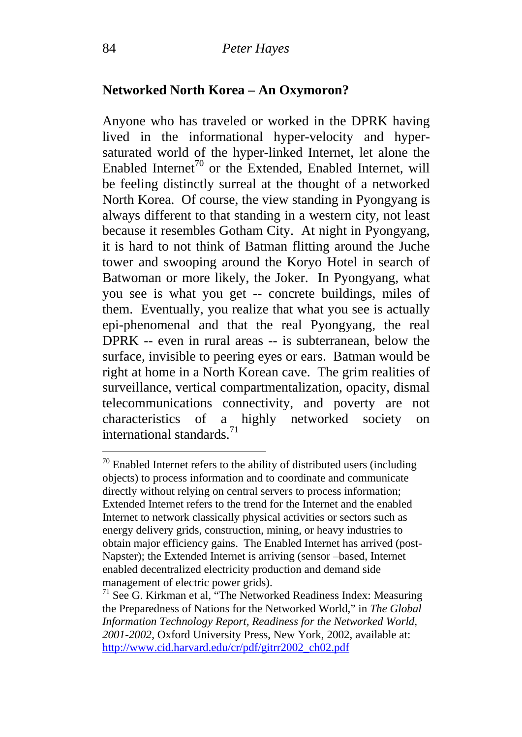#### **Networked North Korea – An Oxymoron?**

Anyone who has traveled or worked in the DPRK having lived in the informational hyper-velocity and hypersaturated world of the hyper-linked Internet, let alone the Enabled Internet<sup>70</sup> or the Extended, Enabled Internet, will be feeling distinctly surreal at the thought of a networked North Korea. Of course, the view standing in Pyongyang is always different to that standing in a western city, not least because it resembles Gotham City. At night in Pyongyang, it is hard to not think of Batman flitting around the Juche tower and swooping around the Koryo Hotel in search of Batwoman or more likely, the Joker. In Pyongyang, what you see is what you get -- concrete buildings, miles of them. Eventually, you realize that what you see is actually epi-phenomenal and that the real Pyongyang, the real DPRK -- even in rural areas -- is subterranean, below the surface, invisible to peering eyes or ears. Batman would be right at home in a North Korean cave. The grim realities of surveillance, vertical compartmentalization, opacity, dismal telecommunications connectivity, and poverty are not characteristics of a highly networked society on international standards.71

 $70$  Enabled Internet refers to the ability of distributed users (including objects) to process information and to coordinate and communicate directly without relying on central servers to process information; Extended Internet refers to the trend for the Internet and the enabled Internet to network classically physical activities or sectors such as energy delivery grids, construction, mining, or heavy industries to obtain major efficiency gains. The Enabled Internet has arrived (post-Napster); the Extended Internet is arriving (sensor –based, Internet enabled decentralized electricity production and demand side management of electric power grids).<br><sup>71</sup> See G. Kirkman et al, "The Networked Readiness Index: Measuring

the Preparedness of Nations for the Networked World," in *The Global Information Technology Report, Readiness for the Networked World, 2001-2002*, Oxford University Press, New York, 2002, available at: http://www.cid.harvard.edu/cr/pdf/gitrr2002\_ch02.pdf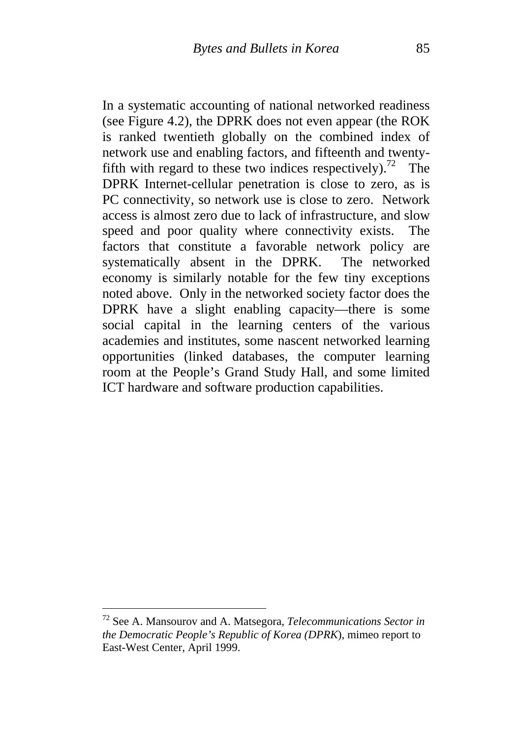In a systematic accounting of national networked readiness (see Figure 4.2), the DPRK does not even appear (the ROK is ranked twentieth globally on the combined index of network use and enabling factors, and fifteenth and twentyfifth with regard to these two indices respectively).<sup>72</sup> The DPRK Internet-cellular penetration is close to zero, as is PC connectivity, so network use is close to zero. Network access is almost zero due to lack of infrastructure, and slow speed and poor quality where connectivity exists. The factors that constitute a favorable network policy are systematically absent in the DPRK. The networked economy is similarly notable for the few tiny exceptions noted above. Only in the networked society factor does the DPRK have a slight enabling capacity—there is some social capital in the learning centers of the various academies and institutes, some nascent networked learning opportunities (linked databases, the computer learning room at the People's Grand Study Hall, and some limited ICT hardware and software production capabilities.

<u>.</u>

<sup>72</sup> See A. Mansourov and A. Matsegora, *Telecommunications Sector in the Democratic People's Republic of Korea (DPRK*), mimeo report to East-West Center, April 1999.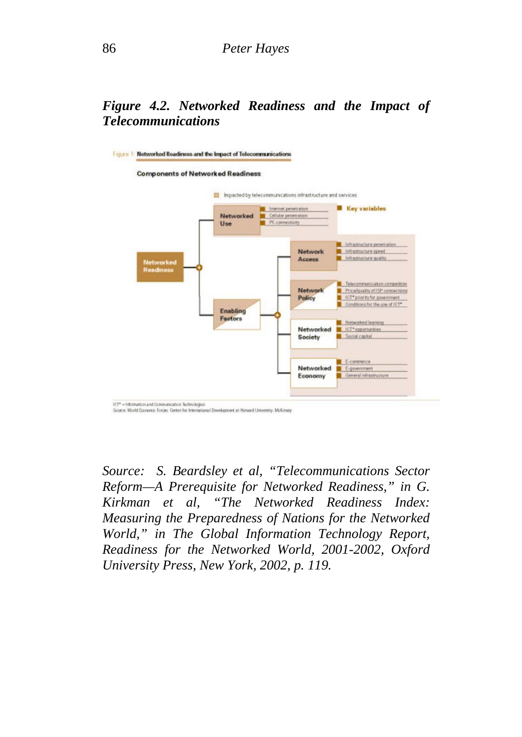### *Figure 4.2. Networked Readiness and the Impact of Telecommunications*



*Source: S. Beardsley et al, "Telecommunications Sector Reform—A Prerequisite for Networked Readiness," in G. Kirkman et al, "The Networked Readiness Index: Measuring the Preparedness of Nations for the Networked World," in The Global Information Technology Report, Readiness for the Networked World, 2001-2002, Oxford University Press, New York, 2002, p. 119.*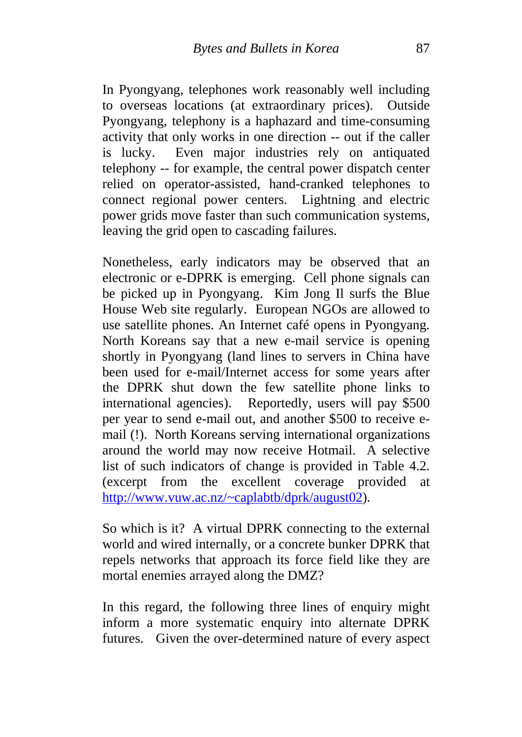In Pyongyang, telephones work reasonably well including to overseas locations (at extraordinary prices). Outside Pyongyang, telephony is a haphazard and time-consuming activity that only works in one direction -- out if the caller is lucky. Even major industries rely on antiquated telephony -- for example, the central power dispatch center relied on operator-assisted, hand-cranked telephones to connect regional power centers. Lightning and electric power grids move faster than such communication systems, leaving the grid open to cascading failures.

Nonetheless, early indicators may be observed that an electronic or e-DPRK is emerging. Cell phone signals can be picked up in Pyongyang. Kim Jong Il surfs the Blue House Web site regularly. European NGOs are allowed to use satellite phones. An Internet café opens in Pyongyang. North Koreans say that a new e-mail service is opening shortly in Pyongyang (land lines to servers in China have been used for e-mail/Internet access for some years after the DPRK shut down the few satellite phone links to international agencies). Reportedly, users will pay \$500 per year to send e-mail out, and another \$500 to receive email (!). North Koreans serving international organizations around the world may now receive Hotmail. A selective list of such indicators of change is provided in Table 4.2. (excerpt from the excellent coverage provided at http://www.vuw.ac.nz/~caplabtb/dprk/august02).

So which is it? A virtual DPRK connecting to the external world and wired internally, or a concrete bunker DPRK that repels networks that approach its force field like they are mortal enemies arrayed along the DMZ?

In this regard, the following three lines of enquiry might inform a more systematic enquiry into alternate DPRK futures. Given the over-determined nature of every aspect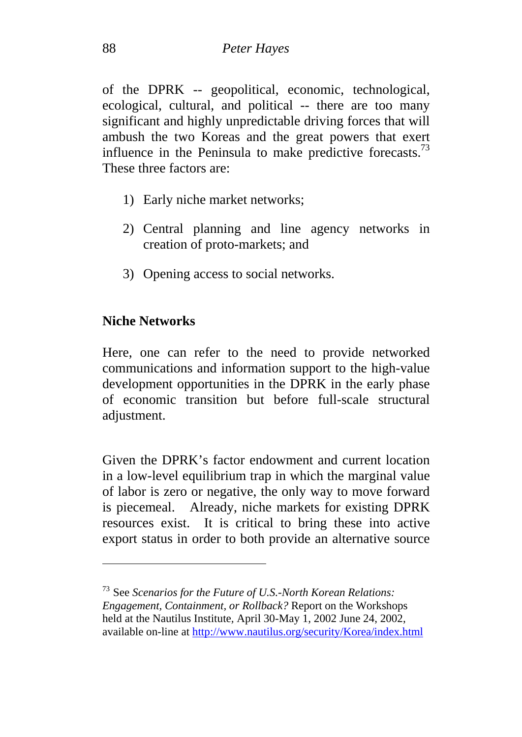of the DPRK -- geopolitical, economic, technological, ecological, cultural, and political -- there are too many significant and highly unpredictable driving forces that will ambush the two Koreas and the great powers that exert influence in the Peninsula to make predictive forecasts.<sup>73</sup> These three factors are:

- 1) Early niche market networks;
- 2) Central planning and line agency networks in creation of proto-markets; and
- 3) Opening access to social networks.

## **Niche Networks**

 $\overline{a}$ 

Here, one can refer to the need to provide networked communications and information support to the high-value development opportunities in the DPRK in the early phase of economic transition but before full-scale structural adjustment.

Given the DPRK's factor endowment and current location in a low-level equilibrium trap in which the marginal value of labor is zero or negative, the only way to move forward is piecemeal. Already, niche markets for existing DPRK resources exist. It is critical to bring these into active export status in order to both provide an alternative source

<sup>73</sup> See *Scenarios for the Future of U.S.-North Korean Relations: Engagement, Containment, or Rollback?* Report on the Workshops held at the Nautilus Institute*,* April 30-May 1, 2002 June 24, 2002, available on-line at http://www.nautilus.org/security/Korea/index.html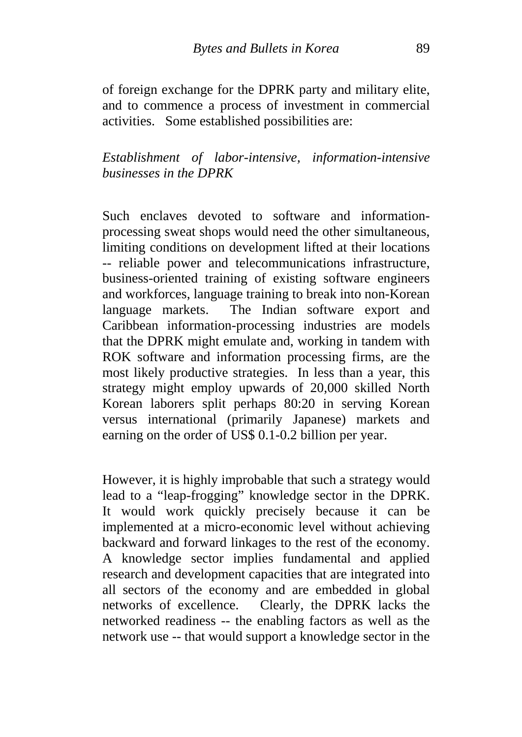of foreign exchange for the DPRK party and military elite, and to commence a process of investment in commercial activities. Some established possibilities are:

*Establishment of labor-intensive, information-intensive businesses in the DPRK* 

Such enclaves devoted to software and informationprocessing sweat shops would need the other simultaneous, limiting conditions on development lifted at their locations -- reliable power and telecommunications infrastructure, business-oriented training of existing software engineers and workforces, language training to break into non-Korean language markets. The Indian software export and Caribbean information-processing industries are models that the DPRK might emulate and, working in tandem with ROK software and information processing firms, are the most likely productive strategies. In less than a year, this strategy might employ upwards of 20,000 skilled North Korean laborers split perhaps 80:20 in serving Korean versus international (primarily Japanese) markets and earning on the order of US\$ 0.1-0.2 billion per year.

However, it is highly improbable that such a strategy would lead to a "leap-frogging" knowledge sector in the DPRK. It would work quickly precisely because it can be implemented at a micro-economic level without achieving backward and forward linkages to the rest of the economy. A knowledge sector implies fundamental and applied research and development capacities that are integrated into all sectors of the economy and are embedded in global networks of excellence. Clearly, the DPRK lacks the networked readiness -- the enabling factors as well as the network use -- that would support a knowledge sector in the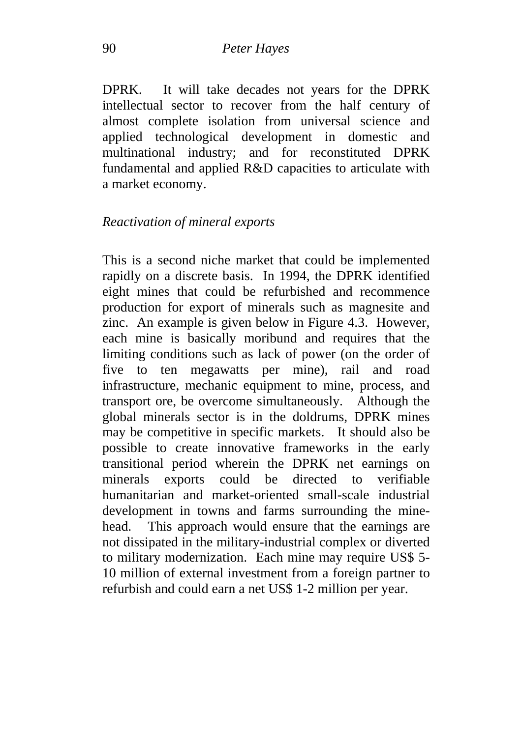DPRK. It will take decades not years for the DPRK intellectual sector to recover from the half century of almost complete isolation from universal science and applied technological development in domestic and multinational industry; and for reconstituted DPRK fundamental and applied R&D capacities to articulate with a market economy.

#### *Reactivation of mineral exports*

This is a second niche market that could be implemented rapidly on a discrete basis. In 1994, the DPRK identified eight mines that could be refurbished and recommence production for export of minerals such as magnesite and zinc. An example is given below in Figure 4.3. However, each mine is basically moribund and requires that the limiting conditions such as lack of power (on the order of five to ten megawatts per mine), rail and road infrastructure, mechanic equipment to mine, process, and transport ore, be overcome simultaneously. Although the global minerals sector is in the doldrums, DPRK mines may be competitive in specific markets. It should also be possible to create innovative frameworks in the early transitional period wherein the DPRK net earnings on minerals exports could be directed to verifiable humanitarian and market-oriented small-scale industrial development in towns and farms surrounding the minehead. This approach would ensure that the earnings are not dissipated in the military-industrial complex or diverted to military modernization. Each mine may require US\$ 5- 10 million of external investment from a foreign partner to refurbish and could earn a net US\$ 1-2 million per year.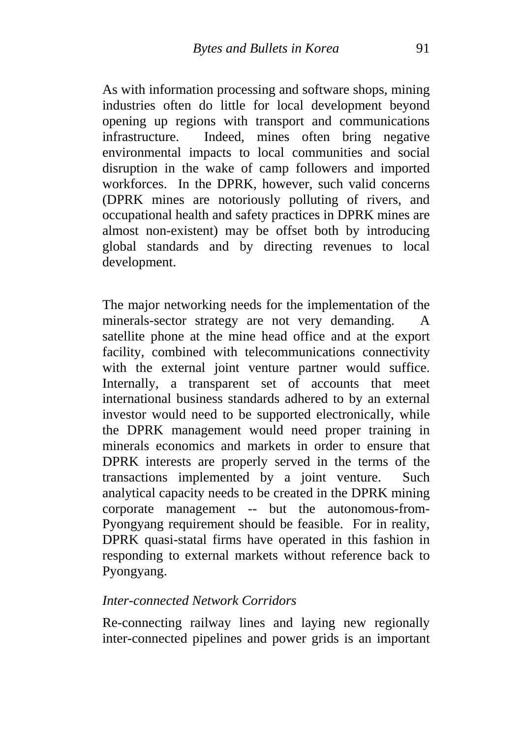As with information processing and software shops, mining industries often do little for local development beyond opening up regions with transport and communications infrastructure. Indeed, mines often bring negative environmental impacts to local communities and social disruption in the wake of camp followers and imported workforces. In the DPRK, however, such valid concerns (DPRK mines are notoriously polluting of rivers, and occupational health and safety practices in DPRK mines are almost non-existent) may be offset both by introducing global standards and by directing revenues to local development.

The major networking needs for the implementation of the minerals-sector strategy are not very demanding. A satellite phone at the mine head office and at the export facility, combined with telecommunications connectivity with the external joint venture partner would suffice. Internally, a transparent set of accounts that meet international business standards adhered to by an external investor would need to be supported electronically, while the DPRK management would need proper training in minerals economics and markets in order to ensure that DPRK interests are properly served in the terms of the transactions implemented by a joint venture. Such analytical capacity needs to be created in the DPRK mining corporate management -- but the autonomous-from-Pyongyang requirement should be feasible. For in reality, DPRK quasi-statal firms have operated in this fashion in responding to external markets without reference back to Pyongyang.

#### *Inter-connected Network Corridors*

Re-connecting railway lines and laying new regionally inter-connected pipelines and power grids is an important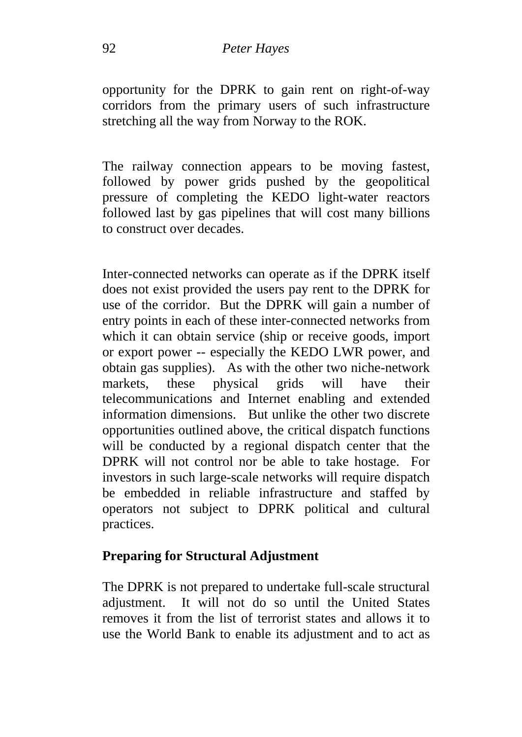opportunity for the DPRK to gain rent on right-of-way corridors from the primary users of such infrastructure stretching all the way from Norway to the ROK.

The railway connection appears to be moving fastest, followed by power grids pushed by the geopolitical pressure of completing the KEDO light-water reactors followed last by gas pipelines that will cost many billions to construct over decades.

Inter-connected networks can operate as if the DPRK itself does not exist provided the users pay rent to the DPRK for use of the corridor. But the DPRK will gain a number of entry points in each of these inter-connected networks from which it can obtain service (ship or receive goods, import or export power -- especially the KEDO LWR power, and obtain gas supplies). As with the other two niche-network markets, these physical grids will have their telecommunications and Internet enabling and extended information dimensions. But unlike the other two discrete opportunities outlined above, the critical dispatch functions will be conducted by a regional dispatch center that the DPRK will not control nor be able to take hostage. For investors in such large-scale networks will require dispatch be embedded in reliable infrastructure and staffed by operators not subject to DPRK political and cultural practices.

## **Preparing for Structural Adjustment**

The DPRK is not prepared to undertake full-scale structural adjustment. It will not do so until the United States removes it from the list of terrorist states and allows it to use the World Bank to enable its adjustment and to act as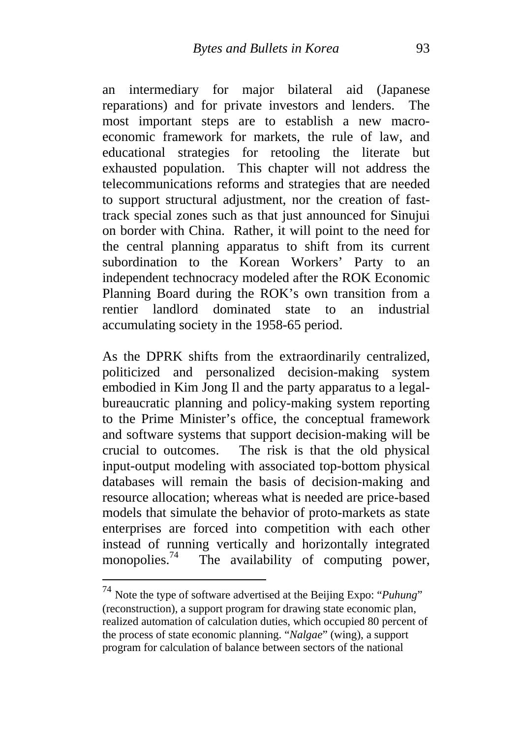an intermediary for major bilateral aid (Japanese reparations) and for private investors and lenders. The most important steps are to establish a new macroeconomic framework for markets, the rule of law, and educational strategies for retooling the literate but exhausted population. This chapter will not address the telecommunications reforms and strategies that are needed to support structural adjustment, nor the creation of fasttrack special zones such as that just announced for Sinujui on border with China. Rather, it will point to the need for the central planning apparatus to shift from its current subordination to the Korean Workers' Party to an independent technocracy modeled after the ROK Economic Planning Board during the ROK's own transition from a rentier landlord dominated state to an industrial accumulating society in the 1958-65 period.

As the DPRK shifts from the extraordinarily centralized, politicized and personalized decision-making system embodied in Kim Jong Il and the party apparatus to a legalbureaucratic planning and policy-making system reporting to the Prime Minister's office, the conceptual framework and software systems that support decision-making will be crucial to outcomes. The risk is that the old physical input-output modeling with associated top-bottom physical databases will remain the basis of decision-making and resource allocation; whereas what is needed are price-based models that simulate the behavior of proto-markets as state enterprises are forced into competition with each other instead of running vertically and horizontally integrated monopolies.<sup>74</sup> The availability of computing power,

1

<sup>74</sup> Note the type of software advertised at the Beijing Expo: "*Puhung*" (reconstruction), a support program for drawing state economic plan, realized automation of calculation duties, which occupied 80 percent of the process of state economic planning. "*Nalgae*" (wing), a support program for calculation of balance between sectors of the national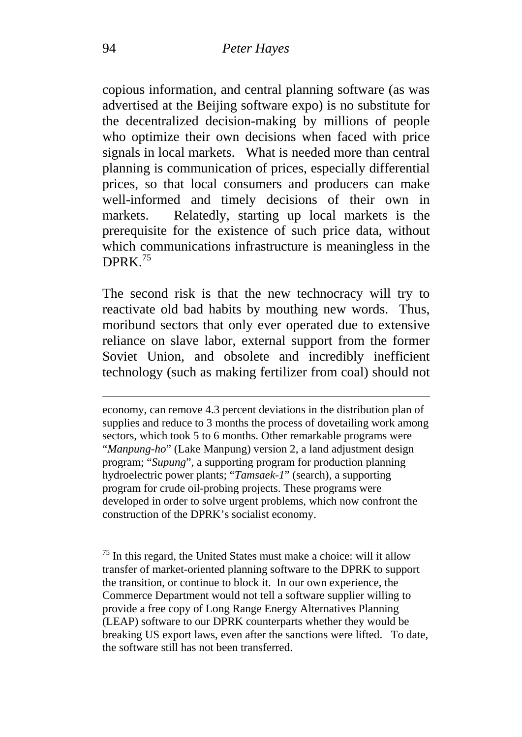copious information, and central planning software (as was advertised at the Beijing software expo) is no substitute for the decentralized decision-making by millions of people who optimize their own decisions when faced with price signals in local markets. What is needed more than central planning is communication of prices, especially differential prices, so that local consumers and producers can make well-informed and timely decisions of their own in markets. Relatedly, starting up local markets is the prerequisite for the existence of such price data, without which communications infrastructure is meaningless in the DPRK $^{75}$ 

The second risk is that the new technocracy will try to reactivate old bad habits by mouthing new words. Thus, moribund sectors that only ever operated due to extensive reliance on slave labor, external support from the former Soviet Union, and obsolete and incredibly inefficient technology (such as making fertilizer from coal) should not

economy, can remove 4.3 percent deviations in the distribution plan of supplies and reduce to 3 months the process of dovetailing work among sectors, which took 5 to 6 months. Other remarkable programs were "*Manpung-ho*" (Lake Manpung) version 2, a land adjustment design program; "*Supung*", a supporting program for production planning hydroelectric power plants; "*Tamsaek-1*" (search), a supporting program for crude oil-probing projects. These programs were developed in order to solve urgent problems, which now confront the construction of the DPRK's socialist economy.

 $<sup>75</sup>$  In this regard, the United States must make a choice: will it allow</sup> transfer of market-oriented planning software to the DPRK to support the transition, or continue to block it. In our own experience, the Commerce Department would not tell a software supplier willing to provide a free copy of Long Range Energy Alternatives Planning (LEAP) software to our DPRK counterparts whether they would be breaking US export laws, even after the sanctions were lifted. To date, the software still has not been transferred.

1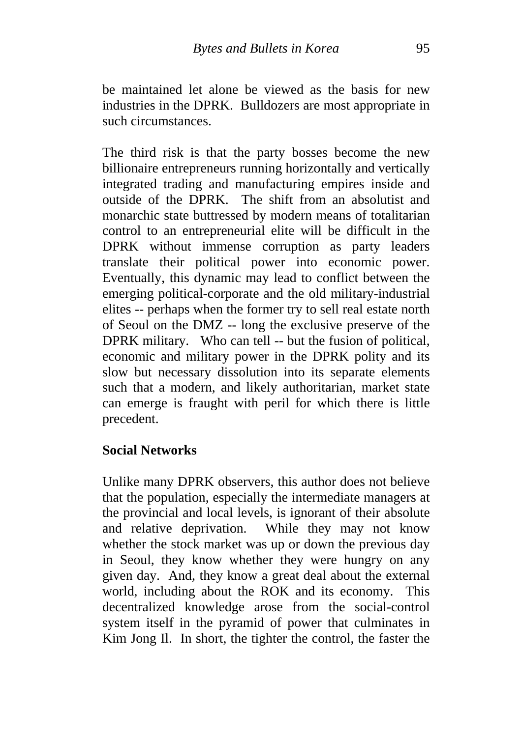be maintained let alone be viewed as the basis for new industries in the DPRK. Bulldozers are most appropriate in such circumstances.

The third risk is that the party bosses become the new billionaire entrepreneurs running horizontally and vertically integrated trading and manufacturing empires inside and outside of the DPRK. The shift from an absolutist and monarchic state buttressed by modern means of totalitarian control to an entrepreneurial elite will be difficult in the DPRK without immense corruption as party leaders translate their political power into economic power. Eventually, this dynamic may lead to conflict between the emerging political-corporate and the old military-industrial elites -- perhaps when the former try to sell real estate north of Seoul on the DMZ -- long the exclusive preserve of the DPRK military. Who can tell -- but the fusion of political, economic and military power in the DPRK polity and its slow but necessary dissolution into its separate elements such that a modern, and likely authoritarian, market state can emerge is fraught with peril for which there is little precedent.

#### **Social Networks**

Unlike many DPRK observers, this author does not believe that the population, especially the intermediate managers at the provincial and local levels, is ignorant of their absolute and relative deprivation. While they may not know whether the stock market was up or down the previous day in Seoul, they know whether they were hungry on any given day. And, they know a great deal about the external world, including about the ROK and its economy. This decentralized knowledge arose from the social-control system itself in the pyramid of power that culminates in Kim Jong Il. In short, the tighter the control, the faster the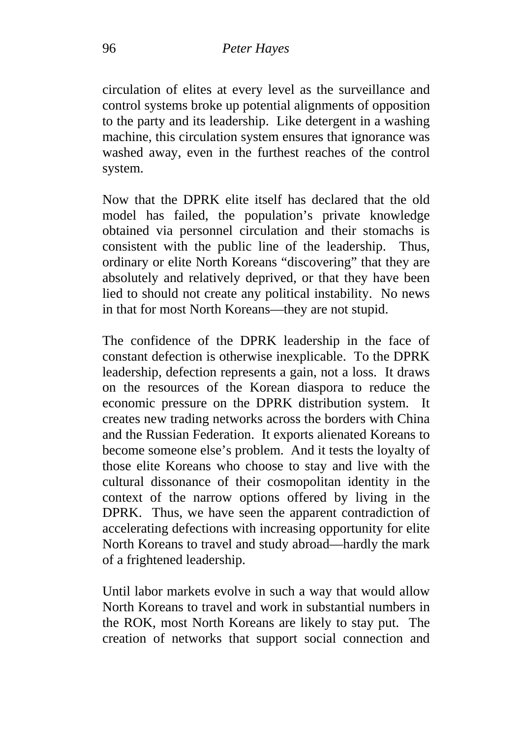circulation of elites at every level as the surveillance and control systems broke up potential alignments of opposition to the party and its leadership. Like detergent in a washing machine, this circulation system ensures that ignorance was washed away, even in the furthest reaches of the control system.

Now that the DPRK elite itself has declared that the old model has failed, the population's private knowledge obtained via personnel circulation and their stomachs is consistent with the public line of the leadership. Thus, ordinary or elite North Koreans "discovering" that they are absolutely and relatively deprived, or that they have been lied to should not create any political instability. No news in that for most North Koreans—they are not stupid.

The confidence of the DPRK leadership in the face of constant defection is otherwise inexplicable. To the DPRK leadership, defection represents a gain, not a loss. It draws on the resources of the Korean diaspora to reduce the economic pressure on the DPRK distribution system. It creates new trading networks across the borders with China and the Russian Federation. It exports alienated Koreans to become someone else's problem. And it tests the loyalty of those elite Koreans who choose to stay and live with the cultural dissonance of their cosmopolitan identity in the context of the narrow options offered by living in the DPRK. Thus, we have seen the apparent contradiction of accelerating defections with increasing opportunity for elite North Koreans to travel and study abroad—hardly the mark of a frightened leadership.

Until labor markets evolve in such a way that would allow North Koreans to travel and work in substantial numbers in the ROK, most North Koreans are likely to stay put. The creation of networks that support social connection and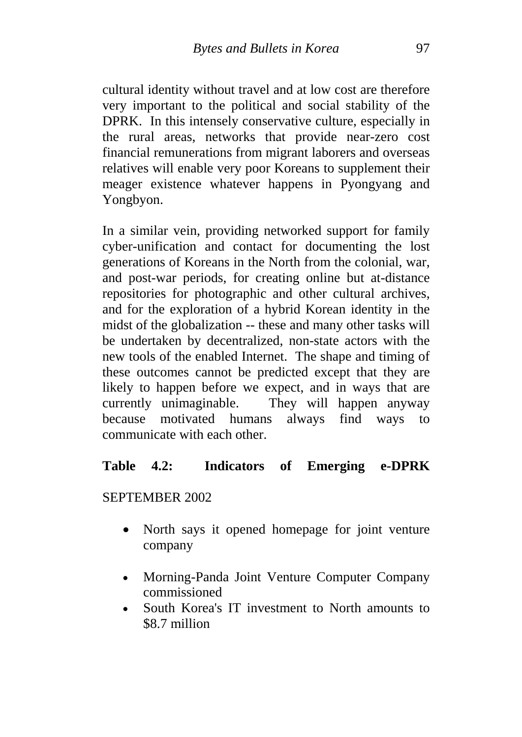cultural identity without travel and at low cost are therefore very important to the political and social stability of the DPRK. In this intensely conservative culture, especially in the rural areas, networks that provide near-zero cost financial remunerations from migrant laborers and overseas relatives will enable very poor Koreans to supplement their meager existence whatever happens in Pyongyang and Yongbyon.

In a similar vein, providing networked support for family cyber-unification and contact for documenting the lost generations of Koreans in the North from the colonial, war, and post-war periods, for creating online but at-distance repositories for photographic and other cultural archives, and for the exploration of a hybrid Korean identity in the midst of the globalization -- these and many other tasks will be undertaken by decentralized, non-state actors with the new tools of the enabled Internet. The shape and timing of these outcomes cannot be predicted except that they are likely to happen before we expect, and in ways that are currently unimaginable. They will happen anyway because motivated humans always find ways to communicate with each other.

#### **Table 4.2: Indicators of Emerging e-DPRK**

SEPTEMBER 2002

- North says it opened homepage for joint venture company
- Morning-Panda Joint Venture Computer Company commissioned
- South Korea's IT investment to North amounts to \$8.7 million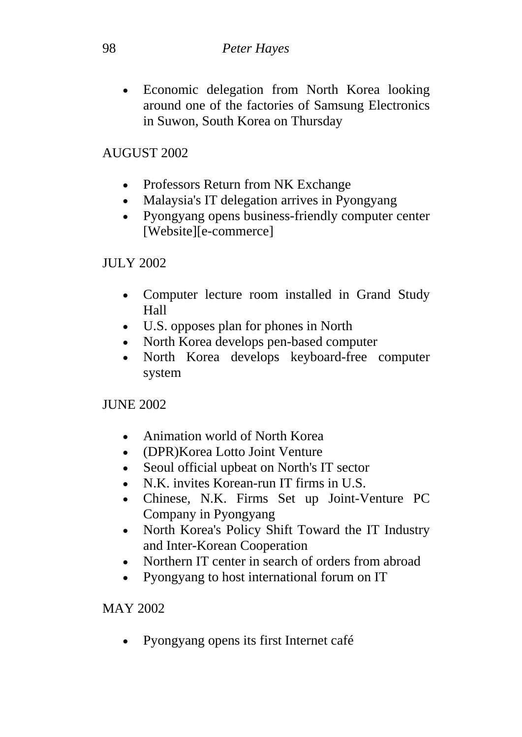• Economic delegation from North Korea looking around one of the factories of Samsung Electronics in Suwon, South Korea on Thursday

## AUGUST 2002

- Professors Return from NK Exchange
- Malaysia's IT delegation arrives in Pyongyang
- Pyongyang opens business-friendly computer center [Website][e-commerce]

#### JULY 2002

- Computer lecture room installed in Grand Study Hall
- U.S. opposes plan for phones in North
- North Korea develops pen-based computer
- North Korea develops keyboard-free computer system

JUNE 2002

- Animation world of North Korea
- (DPR)Korea Lotto Joint Venture
- Seoul official upbeat on North's IT sector
- N.K. invites Korean-run IT firms in U.S.
- Chinese, N.K. Firms Set up Joint-Venture PC Company in Pyongyang
- North Korea's Policy Shift Toward the IT Industry and Inter-Korean Cooperation
- Northern IT center in search of orders from abroad
- Pyongyang to host international forum on IT

## MAY 2002

• Pyongyang opens its first Internet café